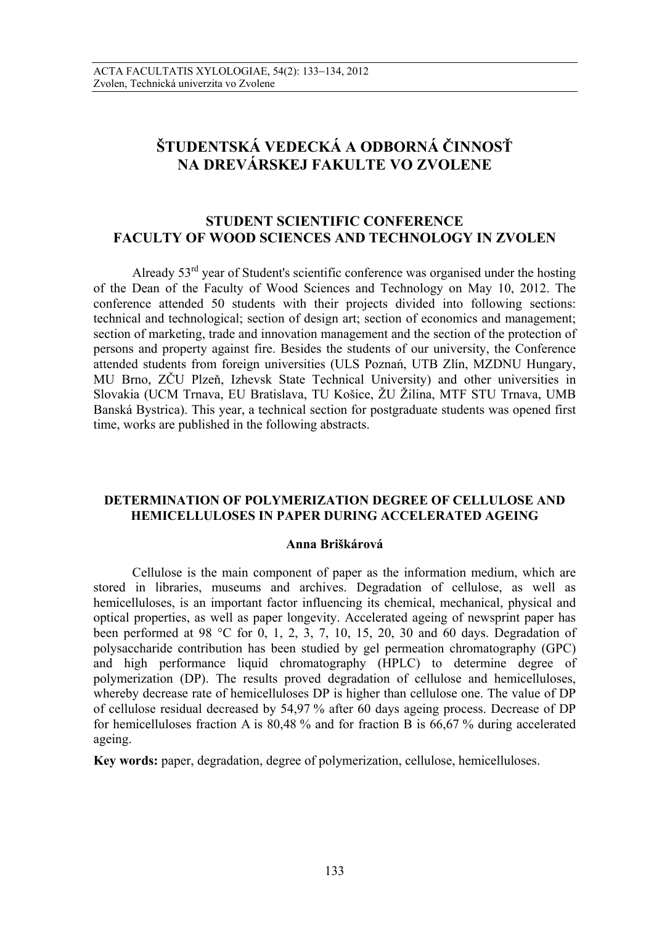# **ŠTUDENTSKÁ VEDECKÁ A ODBORNÁ ČINNOSŤ NA DREVÁRSKEJ FAKULTE VO ZVOLENE**

## **STUDENT SCIENTIFIC CONFERENCE FACULTY OF WOOD SCIENCES AND TECHNOLOGY IN ZVOLEN**

Already  $53<sup>rd</sup>$  year of Student's scientific conference was organised under the hosting of the Dean of the Faculty of Wood Sciences and Technology on May 10, 2012. The conference attended 50 students with their projects divided into following sections: technical and technological; section of design art; section of economics and management; section of marketing, trade and innovation management and the section of the protection of persons and property against fire. Besides the students of our university, the Conference attended students from foreign universities (ULS Poznań, UTB Zlín, MZDNU Hungary, MU Brno, ZČU Plzeň, Izhevsk State Technical University) and other universities in Slovakia (UCM Trnava, EU Bratislava, TU Košice, ŽU Žilina, MTF STU Trnava, UMB Banská Bystrica). This year, a technical section for postgraduate students was opened first time, works are published in the following abstracts.

## **DETERMINATION OF POLYMERIZATION DEGREE OF CELLULOSE AND HEMICELLULOSES IN PAPER DURING ACCELERATED AGEING**

#### **Anna Briškárová**

Cellulose is the main component of paper as the information medium, which are stored in libraries, museums and archives. Degradation of cellulose, as well as hemicelluloses, is an important factor influencing its chemical, mechanical, physical and optical properties, as well as paper longevity. Accelerated ageing of newsprint paper has been performed at 98 °C for 0, 1, 2, 3, 7, 10, 15, 20, 30 and 60 days. Degradation of polysaccharide contribution has been studied by gel permeation chromatography (GPC) and high performance liquid chromatography (HPLC) to determine degree of polymerization (DP). The results proved degradation of cellulose and hemicelluloses, whereby decrease rate of hemicelluloses DP is higher than cellulose one. The value of DP of cellulose residual decreased by 54,97 % after 60 days ageing process. Decrease of DP for hemicelluloses fraction A is 80,48 % and for fraction B is 66,67 % during accelerated ageing.

**Key words:** paper, degradation, degree of polymerization, cellulose, hemicelluloses.